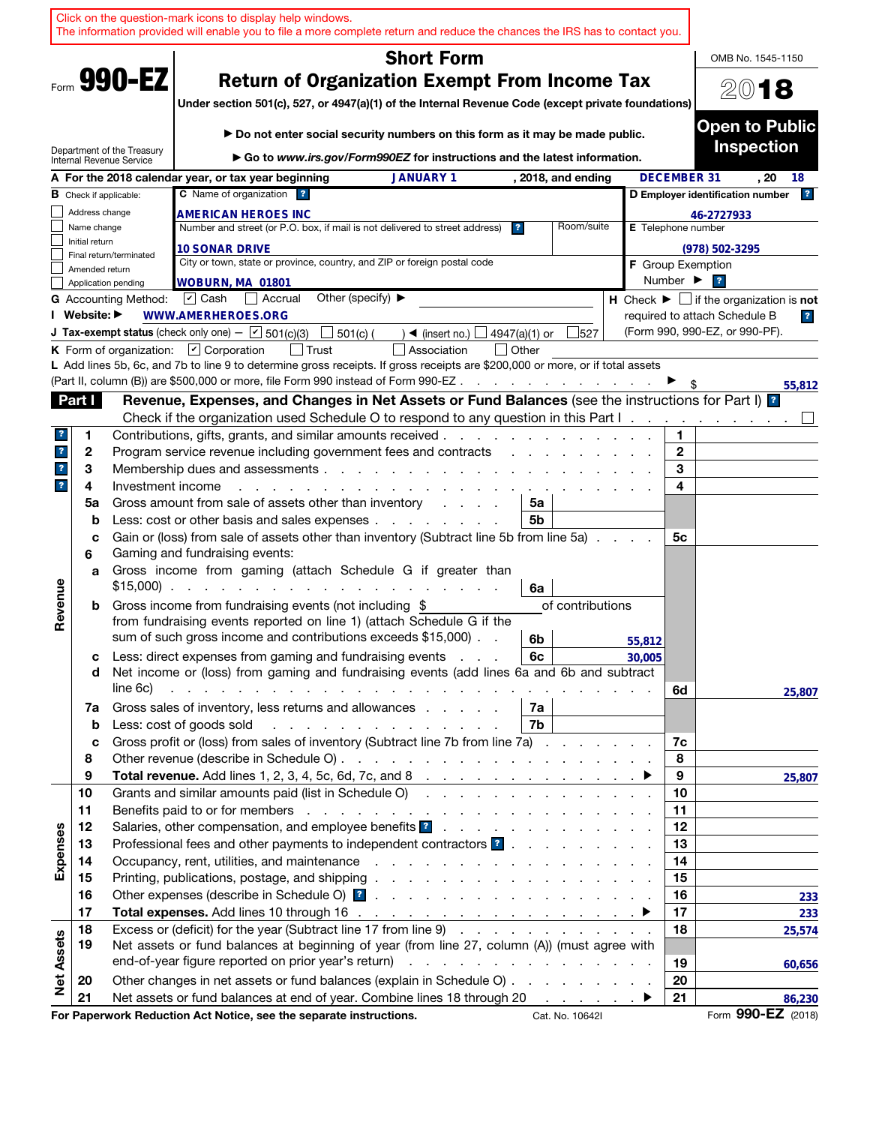|                         |                |                               | Click on the question-mark icons to display help windows.<br>The information provided will enable you to file a more complete return and reduce the chances the IRS has to contact you.                                                                                                                                     |                    |                              |                                                               |
|-------------------------|----------------|-------------------------------|-----------------------------------------------------------------------------------------------------------------------------------------------------------------------------------------------------------------------------------------------------------------------------------------------------------------------------|--------------------|------------------------------|---------------------------------------------------------------|
|                         |                |                               | <b>Short Form</b>                                                                                                                                                                                                                                                                                                           |                    |                              | OMB No. 1545-1150                                             |
|                         |                | Form 990-EZ                   | <b>Return of Organization Exempt From Income Tax</b><br>Under section 501(c), 527, or 4947(a)(1) of the Internal Revenue Code (except private foundations)                                                                                                                                                                  |                    |                              | 2018                                                          |
|                         |                | Department of the Treasury    | Do not enter social security numbers on this form as it may be made public.<br>Go to www.irs.gov/Form990EZ for instructions and the latest information.                                                                                                                                                                     |                    |                              | <b>Open to Public</b><br><b>Inspection</b>                    |
|                         |                | Internal Revenue Service      | A For the 2018 calendar year, or tax year beginning<br><b>JANUARY 1</b><br>, 2018, and ending                                                                                                                                                                                                                               |                    | <b>DECEMBER 31</b>           | . 20<br>18                                                    |
|                         |                | <b>B</b> Check if applicable: | C Name of organization ?                                                                                                                                                                                                                                                                                                    |                    |                              | 2 <br>D Employer identification number                        |
|                         | Address change |                               | <b>AMERICAN HEROES INC</b>                                                                                                                                                                                                                                                                                                  |                    |                              | 46-2727933                                                    |
|                         | Name change    |                               | Number and street (or P.O. box, if mail is not delivered to street address)<br>Room/suite<br>$\overline{?}$                                                                                                                                                                                                                 | E Telephone number |                              |                                                               |
|                         | Initial return |                               | <b>10 SONAR DRIVE</b>                                                                                                                                                                                                                                                                                                       |                    |                              | $(978) 502 - 3295$                                            |
|                         | Amended return | Final return/terminated       | City or town, state or province, country, and ZIP or foreign postal code                                                                                                                                                                                                                                                    |                    |                              | <b>F</b> Group Exemption                                      |
|                         |                | Application pending           | WOBURN, MA 01801                                                                                                                                                                                                                                                                                                            |                    | Number $\blacktriangleright$ | $\overline{\mathbf{r}}$                                       |
|                         |                | <b>G</b> Accounting Method:   | Other (specify) $\blacktriangleright$<br>$\boxed{\mathbf{v}}$ Cash<br>Accrual                                                                                                                                                                                                                                               |                    |                              | H Check $\blacktriangleright \Box$ if the organization is not |
|                         | I Website: ▶   |                               | <b>WWW.AMERHEROES.ORG</b>                                                                                                                                                                                                                                                                                                   |                    |                              | required to attach Schedule B<br>$\overline{\mathbf{r}}$      |
|                         |                |                               | <b>J Tax-exempt status</b> (check only one) - $\boxed{\mathbf{v}}$ 501(c)(3)<br>501(c) (<br>4947(a)(1) or<br>527<br>$\triangleleft$ (insert no.)                                                                                                                                                                            |                    |                              | (Form 990, 990-EZ, or 990-PF).                                |
|                         |                |                               | K Form of organization: $\Box$ Corporation<br>Association<br>  Other<br>L Add lines 5b, 6c, and 7b to line 9 to determine gross receipts. If gross receipts are \$200,000 or more, or if total assets                                                                                                                       |                    |                              |                                                               |
|                         |                |                               | (Part II, column (B)) are \$500,000 or more, file Form 990 instead of Form 990-EZ.<br>and a series of the contract of the                                                                                                                                                                                                   |                    |                              | 55,812                                                        |
|                         | Part I         |                               | Revenue, Expenses, and Changes in Net Assets or Fund Balances (see the instructions for Part I) <sup>2</sup>                                                                                                                                                                                                                |                    |                              |                                                               |
|                         |                |                               | Check if the organization used Schedule O to respond to any question in this Part I                                                                                                                                                                                                                                         |                    |                              |                                                               |
| ?                       | 1              |                               | Contributions, gifts, grants, and similar amounts received.                                                                                                                                                                                                                                                                 |                    | 1                            |                                                               |
| $\mathbf{r}$            | 2              |                               | Program service revenue including government fees and contracts                                                                                                                                                                                                                                                             |                    | $\mathbf{2}$                 |                                                               |
| $\mathbf{?}$            | 3              |                               | Membership dues and assessments.<br>the contract of the contract of the contract of the contract of the contract of the contract of the contract of                                                                                                                                                                         |                    | 3                            |                                                               |
| $\overline{\mathbf{r}}$ | 4              | Investment income             |                                                                                                                                                                                                                                                                                                                             |                    | 4                            |                                                               |
|                         | 5a             |                               | Gross amount from sale of assets other than inventory<br>5a<br>and a state of                                                                                                                                                                                                                                               |                    |                              |                                                               |
|                         | b              |                               | Less: cost or other basis and sales expenses<br>5b                                                                                                                                                                                                                                                                          |                    |                              |                                                               |
|                         | c<br>6         |                               | Gain or (loss) from sale of assets other than inventory (Subtract line 5b from line 5a)<br>Gaming and fundraising events:                                                                                                                                                                                                   |                    | 5с                           |                                                               |
|                         | a              |                               | Gross income from gaming (attach Schedule G if greater than<br>$$15,000$<br>6a                                                                                                                                                                                                                                              |                    |                              |                                                               |
| Revenue                 | b              |                               | Gross income from fundraising events (not including \$<br>of contributions<br>from fundraising events reported on line 1) (attach Schedule G if the<br>sum of such gross income and contributions exceeds \$15,000).                                                                                                        |                    |                              |                                                               |
|                         |                |                               | 6b<br>Less: direct expenses from gaming and fundraising events<br>6с                                                                                                                                                                                                                                                        | 55,812             |                              |                                                               |
|                         | с<br>d         | line 6c)                      | Net income or (loss) from gaming and fundraising events (add lines 6a and 6b and subtract<br>and the contract of the contract of the contract of the contract of the contract of the contract of the contract of the contract of the contract of the contract of the contract of the contract of the contract of the contra | 30,005             | 6d                           |                                                               |
|                         | 7a             |                               | Gross sales of inventory, less returns and allowances<br>7а                                                                                                                                                                                                                                                                 |                    |                              | 25,807                                                        |
|                         | b              |                               | Less: cost of goods sold<br>7b.                                                                                                                                                                                                                                                                                             |                    |                              |                                                               |
|                         | c              |                               | Gross profit or (loss) from sales of inventory (Subtract line 7b from line 7a)                                                                                                                                                                                                                                              |                    | 7c                           |                                                               |
|                         | 8              |                               |                                                                                                                                                                                                                                                                                                                             |                    | 8                            |                                                               |
|                         | 9              |                               | Total revenue. Add lines 1, 2, 3, 4, 5c, 6d, 7c, and 8 $\ldots$ $\ldots$ $\ldots$ $\ldots$ $\ldots$ $\ldots$                                                                                                                                                                                                                |                    | 9                            | 25,807                                                        |
|                         | 10             |                               | Grants and similar amounts paid (list in Schedule O)                                                                                                                                                                                                                                                                        |                    | 10                           |                                                               |
|                         | 11             |                               |                                                                                                                                                                                                                                                                                                                             |                    | 11                           |                                                               |
|                         | 12             |                               | Salaries, other compensation, and employee benefits ?                                                                                                                                                                                                                                                                       |                    | 12                           |                                                               |
| Expenses                | 13<br>14       |                               | Professional fees and other payments to independent contractors ?                                                                                                                                                                                                                                                           |                    | 13<br>14                     |                                                               |
|                         | 15             |                               |                                                                                                                                                                                                                                                                                                                             |                    | 15                           |                                                               |
|                         | 16             |                               |                                                                                                                                                                                                                                                                                                                             |                    | 16                           | 233                                                           |
|                         | 17             |                               |                                                                                                                                                                                                                                                                                                                             |                    | 17                           | 233                                                           |
|                         | 18             |                               | Excess or (deficit) for the year (Subtract line 17 from line 9)                                                                                                                                                                                                                                                             |                    | 18                           | 25,574                                                        |
|                         | 19             |                               | Net assets or fund balances at beginning of year (from line 27, column (A)) (must agree with                                                                                                                                                                                                                                |                    |                              |                                                               |
|                         |                |                               |                                                                                                                                                                                                                                                                                                                             |                    | 19                           | 60,656                                                        |
| <b>Net Assets</b>       | 20             |                               | Other changes in net assets or fund balances (explain in Schedule O)                                                                                                                                                                                                                                                        |                    | 20                           |                                                               |
|                         | 21             |                               | Net assets or fund balances at end of year. Combine lines 18 through 20                                                                                                                                                                                                                                                     |                    | 21                           | 86,230                                                        |
|                         |                |                               | For Paperwork Reduction Act Notice, see the separate instructions.<br>Cat. No. 10642I                                                                                                                                                                                                                                       |                    |                              | Form 990-EZ (2018)                                            |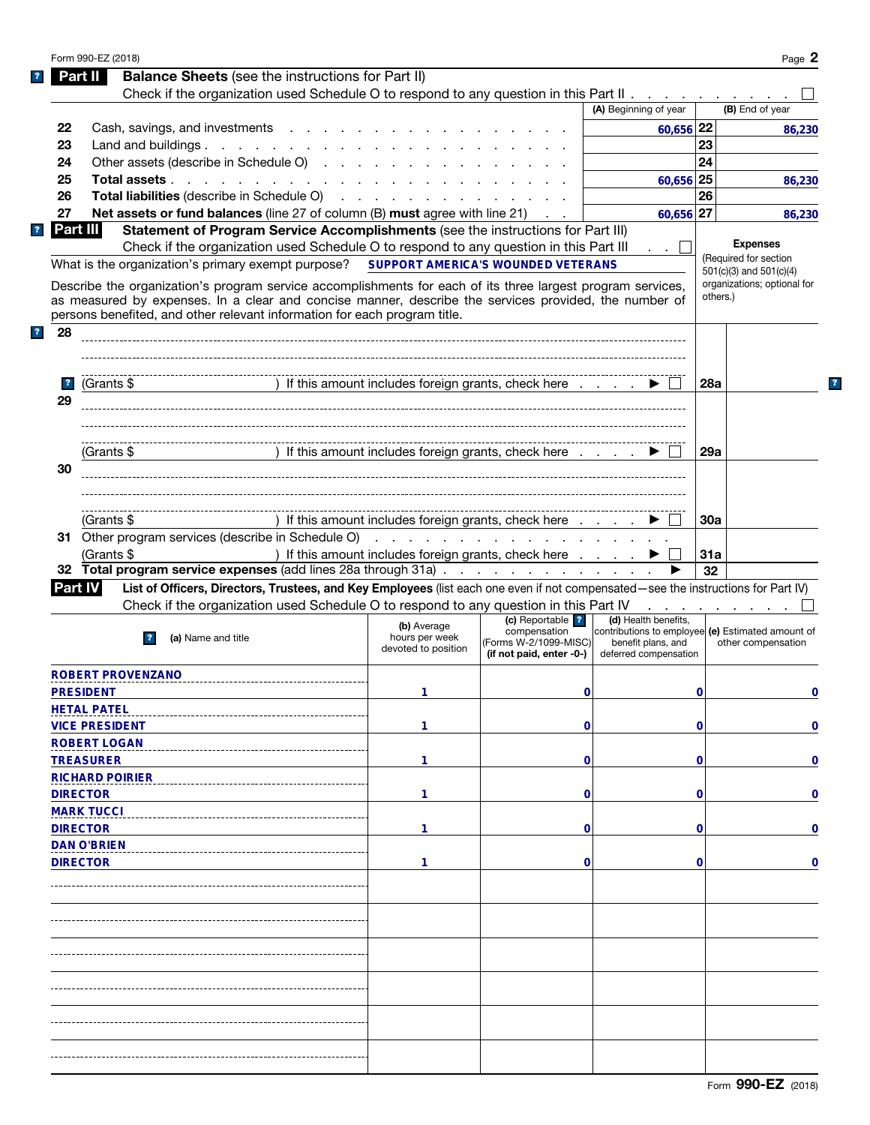|                         | Form 990-EZ (2018)                                                                                                                                                                 |                                                      |                                                   |                                                   |            | Page 2                                  |
|-------------------------|------------------------------------------------------------------------------------------------------------------------------------------------------------------------------------|------------------------------------------------------|---------------------------------------------------|---------------------------------------------------|------------|-----------------------------------------|
|                         | <b>Balance Sheets</b> (see the instructions for Part II)<br>Part II                                                                                                                |                                                      |                                                   |                                                   |            |                                         |
|                         | Check if the organization used Schedule O to respond to any question in this Part II                                                                                               |                                                      |                                                   |                                                   |            |                                         |
|                         |                                                                                                                                                                                    |                                                      |                                                   | (A) Beginning of year                             |            | (B) End of year                         |
| 22                      | Cash, savings, and investments                                                                                                                                                     |                                                      |                                                   | $60,656$ 22                                       |            | 86,230                                  |
| 23                      | Land and buildings.                                                                                                                                                                |                                                      |                                                   |                                                   | 23         |                                         |
| 24                      | Other assets (describe in Schedule O)                                                                                                                                              |                                                      |                                                   |                                                   | 24         |                                         |
| 25                      | Total assets                                                                                                                                                                       |                                                      |                                                   | 60,656 25                                         |            | 86.230                                  |
| 26                      | Total liabilities (describe in Schedule O)                                                                                                                                         |                                                      |                                                   |                                                   | 26         |                                         |
| 27                      | Net assets or fund balances (line 27 of column (B) must agree with line 21)                                                                                                        |                                                      | $\mathcal{L} = \mathcal{L}$ .                     | 60,656 27                                         |            | 86,230                                  |
| Part III                | Statement of Program Service Accomplishments (see the instructions for Part III)                                                                                                   |                                                      |                                                   |                                                   |            |                                         |
|                         | Check if the organization used Schedule O to respond to any question in this Part III                                                                                              |                                                      |                                                   |                                                   |            | <b>Expenses</b>                         |
|                         | What is the organization's primary exempt purpose?                                                                                                                                 | SUPPORT AMERICA'S WOUNDED VETERANS                   |                                                   |                                                   |            | (Required for section                   |
|                         |                                                                                                                                                                                    |                                                      |                                                   |                                                   |            | 501(c)(3) and 501(c)(4)                 |
|                         | Describe the organization's program service accomplishments for each of its three largest program services,                                                                        |                                                      |                                                   |                                                   |            | organizations; optional for<br>others.) |
|                         | as measured by expenses. In a clear and concise manner, describe the services provided, the number of<br>persons benefited, and other relevant information for each program title. |                                                      |                                                   |                                                   |            |                                         |
|                         |                                                                                                                                                                                    |                                                      |                                                   |                                                   |            |                                         |
| 28                      |                                                                                                                                                                                    |                                                      |                                                   |                                                   |            |                                         |
|                         |                                                                                                                                                                                    |                                                      |                                                   |                                                   |            |                                         |
|                         |                                                                                                                                                                                    |                                                      |                                                   |                                                   |            |                                         |
| $\overline{\mathbf{r}}$ | (Grants \$                                                                                                                                                                         | ) If this amount includes foreign grants, check here |                                                   |                                                   | 28a        |                                         |
| 29                      |                                                                                                                                                                                    |                                                      |                                                   |                                                   |            |                                         |
|                         |                                                                                                                                                                                    |                                                      |                                                   |                                                   |            |                                         |
|                         |                                                                                                                                                                                    |                                                      |                                                   |                                                   |            |                                         |
|                         | (Grants \$                                                                                                                                                                         | ) If this amount includes foreign grants, check here |                                                   |                                                   | 29a        |                                         |
| 30                      |                                                                                                                                                                                    |                                                      |                                                   |                                                   |            |                                         |
|                         |                                                                                                                                                                                    |                                                      |                                                   |                                                   |            |                                         |
|                         |                                                                                                                                                                                    |                                                      |                                                   |                                                   |            |                                         |
|                         | (Grants \$                                                                                                                                                                         | ) If this amount includes foreign grants, check here |                                                   |                                                   | <b>30a</b> |                                         |
|                         | 31 Other program services (describe in Schedule O)                                                                                                                                 |                                                      |                                                   |                                                   |            |                                         |
|                         | (Grants \$                                                                                                                                                                         | ) If this amount includes foreign grants, check here |                                                   |                                                   | 31a        |                                         |
|                         | 32 Total program service expenses (add lines 28a through 31a)                                                                                                                      |                                                      |                                                   |                                                   | 32         |                                         |
| <b>Part IV</b>          | List of Officers, Directors, Trustees, and Key Employees (list each one even if not compensated-see the instructions for Part IV)                                                  |                                                      |                                                   |                                                   |            |                                         |
|                         | Check if the organization used Schedule O to respond to any question in this Part IV                                                                                               |                                                      |                                                   |                                                   |            |                                         |
|                         |                                                                                                                                                                                    |                                                      | (c) Reportable ?                                  | (d) Health benefits,                              |            | the contract of the con-                |
|                         | (a) Name and title                                                                                                                                                                 | (b) Average<br>hours per week                        | compensation                                      | contributions to employee (e) Estimated amount of |            |                                         |
|                         |                                                                                                                                                                                    | devoted to position                                  | (Forms W-2/1099-MISC)<br>(if not paid, enter -0-) | benefit plans, and<br>deferred compensation       |            | other compensation                      |
|                         |                                                                                                                                                                                    |                                                      |                                                   |                                                   |            |                                         |
|                         | ROBERT PROVENZANO                                                                                                                                                                  |                                                      |                                                   |                                                   |            |                                         |
|                         | <b>PRESIDENT</b>                                                                                                                                                                   | 1                                                    | 0                                                 |                                                   | 0          | 0                                       |
|                         | <b>HETAL PATEL</b>                                                                                                                                                                 |                                                      |                                                   |                                                   |            |                                         |
|                         | <b>VICE PRESIDENT</b>                                                                                                                                                              | 1                                                    | $\mathbf 0$                                       |                                                   | 0          | $\mathbf 0$                             |
|                         | <b>ROBERT LOGAN</b>                                                                                                                                                                |                                                      |                                                   |                                                   |            |                                         |
|                         | <b>TREASURER</b>                                                                                                                                                                   | 1                                                    | $\mathbf 0$                                       |                                                   | 0          | $\mathbf 0$                             |
|                         | <b>RICHARD POIRIER</b>                                                                                                                                                             |                                                      |                                                   |                                                   |            |                                         |
|                         | <b>DIRECTOR</b>                                                                                                                                                                    | 1                                                    | $\mathbf 0$                                       |                                                   | 0          | $\mathbf 0$                             |
|                         | <b>MARK TUCCI</b>                                                                                                                                                                  |                                                      |                                                   |                                                   |            |                                         |
|                         | <b>DIRECTOR</b>                                                                                                                                                                    | 1                                                    | $\mathbf 0$                                       |                                                   | 0          | $\mathbf 0$                             |
|                         | <b>DAN O'BRIEN</b>                                                                                                                                                                 |                                                      |                                                   |                                                   |            |                                         |
|                         |                                                                                                                                                                                    |                                                      |                                                   |                                                   |            |                                         |
|                         | <b>DIRECTOR</b>                                                                                                                                                                    | 1                                                    | $\mathbf 0$                                       |                                                   | 0          | $\mathbf 0$                             |
|                         |                                                                                                                                                                                    |                                                      |                                                   |                                                   |            |                                         |
|                         |                                                                                                                                                                                    |                                                      |                                                   |                                                   |            |                                         |
|                         |                                                                                                                                                                                    |                                                      |                                                   |                                                   |            |                                         |
|                         |                                                                                                                                                                                    |                                                      |                                                   |                                                   |            |                                         |
|                         |                                                                                                                                                                                    |                                                      |                                                   |                                                   |            |                                         |
|                         |                                                                                                                                                                                    |                                                      |                                                   |                                                   |            |                                         |
|                         |                                                                                                                                                                                    |                                                      |                                                   |                                                   |            |                                         |
|                         |                                                                                                                                                                                    |                                                      |                                                   |                                                   |            |                                         |
|                         |                                                                                                                                                                                    |                                                      |                                                   |                                                   |            |                                         |
|                         |                                                                                                                                                                                    |                                                      |                                                   |                                                   |            |                                         |
|                         |                                                                                                                                                                                    |                                                      |                                                   |                                                   |            |                                         |
|                         |                                                                                                                                                                                    |                                                      |                                                   |                                                   |            |                                         |
|                         |                                                                                                                                                                                    |                                                      |                                                   |                                                   |            |                                         |

 $\mathbf{?}$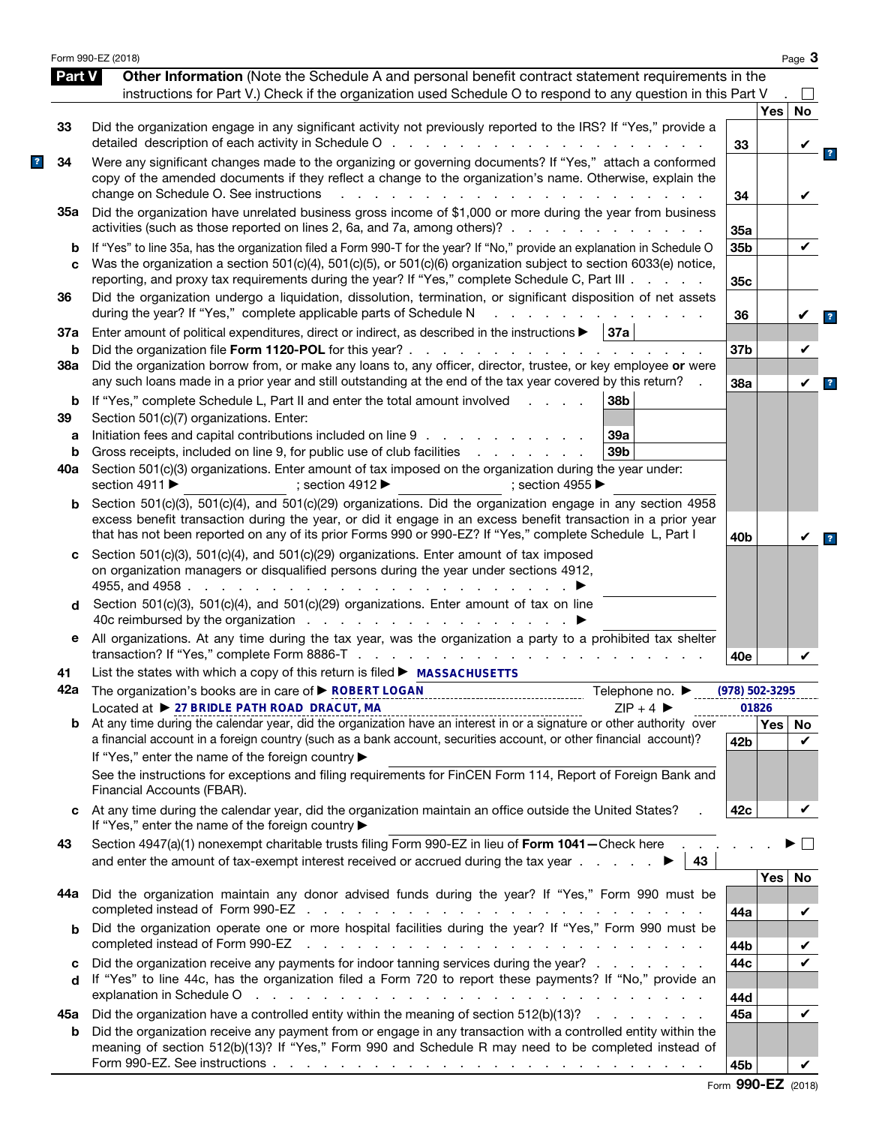|               | Form 990-EZ (2018)                                                                                                                                                                                                                                                                                                                        |                    |                  | Page $3$ |
|---------------|-------------------------------------------------------------------------------------------------------------------------------------------------------------------------------------------------------------------------------------------------------------------------------------------------------------------------------------------|--------------------|------------------|----------|
| <b>Part V</b> | Other Information (Note the Schedule A and personal benefit contract statement requirements in the                                                                                                                                                                                                                                        |                    |                  |          |
|               | instructions for Part V.) Check if the organization used Schedule O to respond to any question in this Part V                                                                                                                                                                                                                             |                    |                  |          |
|               |                                                                                                                                                                                                                                                                                                                                           |                    | Yes              | No       |
| 33            | Did the organization engage in any significant activity not previously reported to the IRS? If "Yes," provide a<br>detailed description of each activity in Schedule O                                                                                                                                                                    | 33                 |                  |          |
| 34            | Were any significant changes made to the organizing or governing documents? If "Yes," attach a conformed<br>copy of the amended documents if they reflect a change to the organization's name. Otherwise, explain the<br>change on Schedule O. See instructions<br>$\mathbf{r} = \mathbf{r}$                                              | 34                 |                  | V        |
| 35а           | Did the organization have unrelated business gross income of \$1,000 or more during the year from business<br>activities (such as those reported on lines 2, 6a, and 7a, among others)?                                                                                                                                                   | 35a                |                  |          |
| b             | If "Yes" to line 35a, has the organization filed a Form 990-T for the year? If "No," provide an explanation in Schedule O                                                                                                                                                                                                                 | 35b                |                  | ✓        |
| C             | Was the organization a section 501(c)(4), 501(c)(5), or 501(c)(6) organization subject to section 6033(e) notice,<br>reporting, and proxy tax requirements during the year? If "Yes," complete Schedule C, Part III                                                                                                                       | 35c                |                  |          |
| 36            | Did the organization undergo a liquidation, dissolution, termination, or significant disposition of net assets<br>during the year? If "Yes," complete applicable parts of Schedule N                                                                                                                                                      | 36                 |                  |          |
| 37a           | Enter amount of political expenditures, direct or indirect, as described in the instructions $\blacktriangleright$   37a                                                                                                                                                                                                                  |                    |                  |          |
| b             |                                                                                                                                                                                                                                                                                                                                           | 37 <sub>b</sub>    |                  | V        |
| 38a           | Did the organization borrow from, or make any loans to, any officer, director, trustee, or key employee or were<br>any such loans made in a prior year and still outstanding at the end of the tax year covered by this return?                                                                                                           | 38a                |                  | V        |
| b             | If "Yes," complete Schedule L, Part II and enter the total amount involved<br>38b<br>and the control                                                                                                                                                                                                                                      |                    |                  |          |
| 39            | Section 501(c)(7) organizations. Enter:                                                                                                                                                                                                                                                                                                   |                    |                  |          |
| а             | Initiation fees and capital contributions included on line 9<br>39a                                                                                                                                                                                                                                                                       |                    |                  |          |
| b             | Gross receipts, included on line 9, for public use of club facilities<br>39 <sub>b</sub><br>and a state of the state of the                                                                                                                                                                                                               |                    |                  |          |
| 40a           | Section 501(c)(3) organizations. Enter amount of tax imposed on the organization during the year under:<br>section 4911 ▶<br>; section 4912 $\blacktriangleright$<br>: section 4955 $\blacktriangleright$                                                                                                                                 |                    |                  |          |
| b             | Section 501(c)(3), 501(c)(4), and 501(c)(29) organizations. Did the organization engage in any section 4958<br>excess benefit transaction during the year, or did it engage in an excess benefit transaction in a prior year<br>that has not been reported on any of its prior Forms 990 or 990-EZ? If "Yes," complete Schedule L, Part I | 40 <sub>b</sub>    |                  |          |
| c<br>d        | Section 501(c)(3), 501(c)(4), and 501(c)(29) organizations. Enter amount of tax imposed<br>on organization managers or disqualified persons during the year under sections 4912,<br>4955, and 4958.<br>and a state of the state of the<br>Section 501(c)(3), 501(c)(4), and 501(c)(29) organizations. Enter amount of tax on line         |                    |                  |          |
| е             | 40c reimbursed by the organization $\cdots$ $\cdots$ $\cdots$ $\cdots$ $\cdots$<br>All organizations. At any time during the tax year, was the organization a party to a prohibited tax shelter                                                                                                                                           |                    |                  |          |
|               |                                                                                                                                                                                                                                                                                                                                           | 40e                |                  |          |
| 41            | List the states with which a copy of this return is filed ► MASSACHUSETTS                                                                                                                                                                                                                                                                 |                    |                  |          |
|               | 42a The organization's books are in care of <b>&gt; ROBERT LOGAN</b><br>Telephone no. ▶                                                                                                                                                                                                                                                   | $(978) 502 - 3295$ |                  |          |
| b             | Located at ▶ 27 BRIDLE PATH ROAD DRACUT, MA<br>$ZIP + 4$<br>Located at $\triangleright$ 27 BRIDLE PATH ROAD DRACUT, MA<br>At any time during the calendar year, did the organization have an interest in or a signature or other authority over                                                                                           |                    | 01826            |          |
|               | a financial account in a foreign country (such as a bank account, securities account, or other financial account)?<br>If "Yes," enter the name of the foreign country ▶                                                                                                                                                                   | 42 <sub>b</sub>    | Yes <sub>1</sub> | No<br>✓  |
|               | See the instructions for exceptions and filing requirements for FinCEN Form 114, Report of Foreign Bank and<br>Financial Accounts (FBAR).                                                                                                                                                                                                 |                    |                  |          |
| C             | At any time during the calendar year, did the organization maintain an office outside the United States?<br>If "Yes," enter the name of the foreign country ▶                                                                                                                                                                             | 42c                |                  | ✓        |
| 43            | Section 4947(a)(1) nonexempt charitable trusts filing Form 990-EZ in lieu of Form 1041-Check here<br>and enter the amount of tax-exempt interest received or accrued during the tax year $\ldots$<br>43                                                                                                                                   |                    |                  |          |
|               |                                                                                                                                                                                                                                                                                                                                           |                    | Yes              | No       |
| 44а           | Did the organization maintain any donor advised funds during the year? If "Yes," Form 990 must be                                                                                                                                                                                                                                         | 44a                |                  | V        |
| b             | Did the organization operate one or more hospital facilities during the year? If "Yes," Form 990 must be                                                                                                                                                                                                                                  |                    |                  |          |
|               | completed instead of Form 990-EZ<br>المتعاون والمتعاون والمتعاون والمتعاون والمتعاون والمتعاون والمتعاون والمتعاون والمتعاون والمتعاون                                                                                                                                                                                                    | 44b                |                  |          |
| c<br>d        | Did the organization receive any payments for indoor tanning services during the year?<br>If "Yes" to line 44c, has the organization filed a Form 720 to report these payments? If "No," provide an                                                                                                                                       | 44c                |                  |          |
|               | explanation in Schedule O response to the contract of the contract of the contract of the contract of the contract of the contract of the contract of the contract of the contract of the contract of the contract of the cont                                                                                                            | 44d                |                  |          |
| 45а<br>b      | Did the organization have a controlled entity within the meaning of section 512(b)(13)?<br>Did the organization receive any payment from or engage in any transaction with a controlled entity within the                                                                                                                                 | 45a                |                  | V        |
|               | meaning of section 512(b)(13)? If "Yes," Form 990 and Schedule R may need to be completed instead of                                                                                                                                                                                                                                      | 45b                |                  | V        |

|  | Form 990-EZ (2018) |  |
|--|--------------------|--|
|--|--------------------|--|